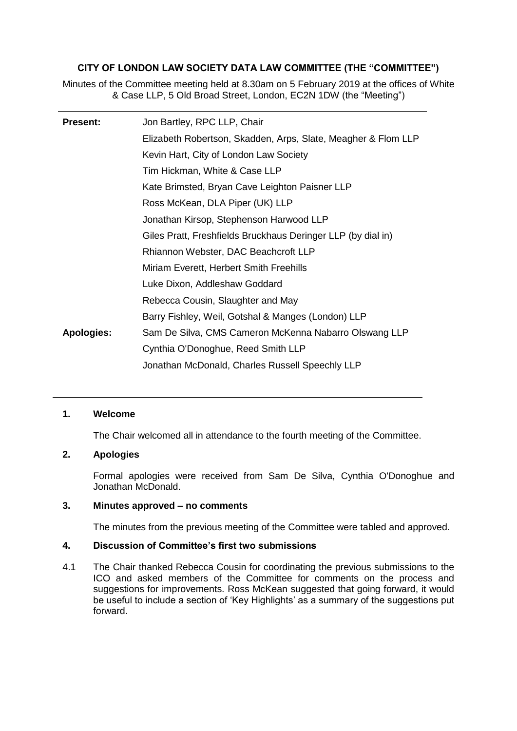# **CITY OF LONDON LAW SOCIETY DATA LAW COMMITTEE (THE "COMMITTEE")**

Minutes of the Committee meeting held at 8.30am on 5 February 2019 at the offices of White & Case LLP, 5 Old Broad Street, London, EC2N 1DW (the "Meeting")

| <b>Present:</b>   | Jon Bartley, RPC LLP, Chair                                   |
|-------------------|---------------------------------------------------------------|
|                   | Elizabeth Robertson, Skadden, Arps, Slate, Meagher & Flom LLP |
|                   | Kevin Hart, City of London Law Society                        |
|                   | Tim Hickman, White & Case LLP                                 |
|                   | Kate Brimsted, Bryan Cave Leighton Paisner LLP                |
|                   | Ross McKean, DLA Piper (UK) LLP                               |
|                   | Jonathan Kirsop, Stephenson Harwood LLP                       |
|                   | Giles Pratt, Freshfields Bruckhaus Deringer LLP (by dial in)  |
|                   | Rhiannon Webster, DAC Beachcroft LLP                          |
|                   | Miriam Everett, Herbert Smith Freehills                       |
|                   | Luke Dixon, Addleshaw Goddard                                 |
|                   | Rebecca Cousin, Slaughter and May                             |
|                   | Barry Fishley, Weil, Gotshal & Manges (London) LLP            |
| <b>Apologies:</b> | Sam De Silva, CMS Cameron McKenna Nabarro Olswang LLP         |
|                   | Cynthia O'Donoghue, Reed Smith LLP                            |
|                   | Jonathan McDonald, Charles Russell Speechly LLP               |

## **1. Welcome**

The Chair welcomed all in attendance to the fourth meeting of the Committee.

## **2. Apologies**

Formal apologies were received from Sam De Silva, Cynthia O'Donoghue and Jonathan McDonald.

#### **3. Minutes approved – no comments**

The minutes from the previous meeting of the Committee were tabled and approved.

#### **4. Discussion of Committee's first two submissions**

4.1 The Chair thanked Rebecca Cousin for coordinating the previous submissions to the ICO and asked members of the Committee for comments on the process and suggestions for improvements. Ross McKean suggested that going forward, it would be useful to include a section of 'Key Highlights' as a summary of the suggestions put forward.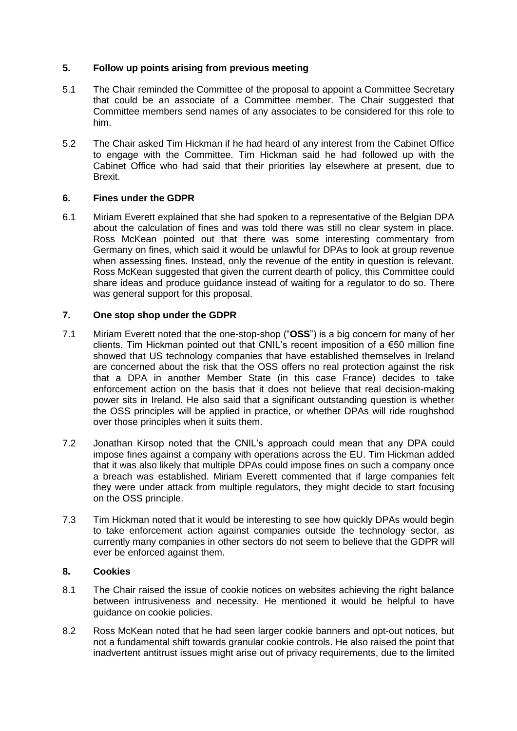# **5. Follow up points arising from previous meeting**

- 5.1 The Chair reminded the Committee of the proposal to appoint a Committee Secretary that could be an associate of a Committee member. The Chair suggested that Committee members send names of any associates to be considered for this role to him.
- 5.2 The Chair asked Tim Hickman if he had heard of any interest from the Cabinet Office to engage with the Committee. Tim Hickman said he had followed up with the Cabinet Office who had said that their priorities lay elsewhere at present, due to Brexit.

### **6. Fines under the GDPR**

6.1 Miriam Everett explained that she had spoken to a representative of the Belgian DPA about the calculation of fines and was told there was still no clear system in place. Ross McKean pointed out that there was some interesting commentary from Germany on fines, which said it would be unlawful for DPAs to look at group revenue when assessing fines. Instead, only the revenue of the entity in question is relevant. Ross McKean suggested that given the current dearth of policy, this Committee could share ideas and produce guidance instead of waiting for a regulator to do so. There was general support for this proposal.

# **7. One stop shop under the GDPR**

- 7.1 Miriam Everett noted that the one-stop-shop ("**OSS**") is a big concern for many of her clients. Tim Hickman pointed out that CNIL's recent imposition of a  $\epsilon$ 50 million fine showed that US technology companies that have established themselves in Ireland are concerned about the risk that the OSS offers no real protection against the risk that a DPA in another Member State (in this case France) decides to take enforcement action on the basis that it does not believe that real decision-making power sits in Ireland. He also said that a significant outstanding question is whether the OSS principles will be applied in practice, or whether DPAs will ride roughshod over those principles when it suits them.
- 7.2 Jonathan Kirsop noted that the CNIL's approach could mean that any DPA could impose fines against a company with operations across the EU. Tim Hickman added that it was also likely that multiple DPAs could impose fines on such a company once a breach was established. Miriam Everett commented that if large companies felt they were under attack from multiple regulators, they might decide to start focusing on the OSS principle.
- 7.3 Tim Hickman noted that it would be interesting to see how quickly DPAs would begin to take enforcement action against companies outside the technology sector, as currently many companies in other sectors do not seem to believe that the GDPR will ever be enforced against them.

# **8. Cookies**

- 8.1 The Chair raised the issue of cookie notices on websites achieving the right balance between intrusiveness and necessity. He mentioned it would be helpful to have guidance on cookie policies.
- 8.2 Ross McKean noted that he had seen larger cookie banners and opt-out notices, but not a fundamental shift towards granular cookie controls. He also raised the point that inadvertent antitrust issues might arise out of privacy requirements, due to the limited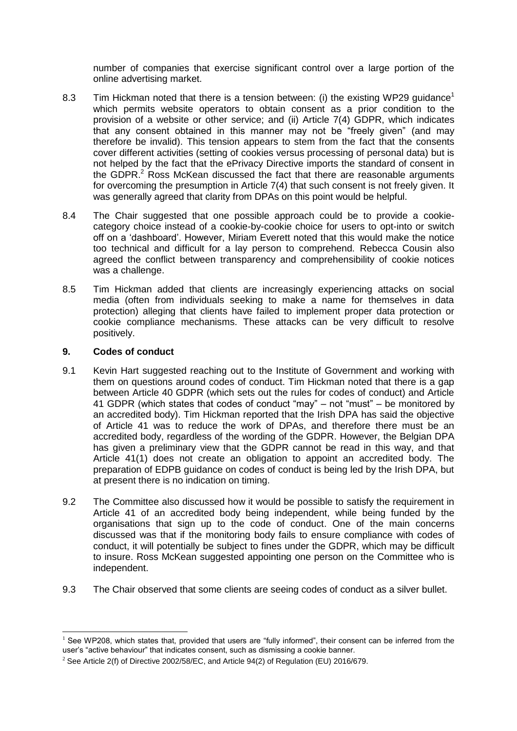number of companies that exercise significant control over a large portion of the online advertising market.

- 8.3 Tim Hickman noted that there is a tension between: (i) the existing WP29 quidance<sup>1</sup> which permits website operators to obtain consent as a prior condition to the provision of a website or other service; and (ii) Article 7(4) GDPR, which indicates that any consent obtained in this manner may not be "freely given" (and may therefore be invalid). This tension appears to stem from the fact that the consents cover different activities (setting of cookies versus processing of personal data) but is not helped by the fact that the ePrivacy Directive imports the standard of consent in the GDPR. $<sup>2</sup>$  Ross McKean discussed the fact that there are reasonable arguments</sup> for overcoming the presumption in Article 7(4) that such consent is not freely given. It was generally agreed that clarity from DPAs on this point would be helpful.
- 8.4 The Chair suggested that one possible approach could be to provide a cookiecategory choice instead of a cookie-by-cookie choice for users to opt-into or switch off on a 'dashboard'. However, Miriam Everett noted that this would make the notice too technical and difficult for a lay person to comprehend. Rebecca Cousin also agreed the conflict between transparency and comprehensibility of cookie notices was a challenge.
- 8.5 Tim Hickman added that clients are increasingly experiencing attacks on social media (often from individuals seeking to make a name for themselves in data protection) alleging that clients have failed to implement proper data protection or cookie compliance mechanisms. These attacks can be very difficult to resolve positively.

### **9. Codes of conduct**

1

- 9.1 Kevin Hart suggested reaching out to the Institute of Government and working with them on questions around codes of conduct. Tim Hickman noted that there is a gap between Article 40 GDPR (which sets out the rules for codes of conduct) and Article 41 GDPR (which states that codes of conduct "may" – not "must" – be monitored by an accredited body). Tim Hickman reported that the Irish DPA has said the objective of Article 41 was to reduce the work of DPAs, and therefore there must be an accredited body, regardless of the wording of the GDPR. However, the Belgian DPA has given a preliminary view that the GDPR cannot be read in this way, and that Article 41(1) does not create an obligation to appoint an accredited body. The preparation of EDPB guidance on codes of conduct is being led by the Irish DPA, but at present there is no indication on timing.
- 9.2 The Committee also discussed how it would be possible to satisfy the requirement in Article 41 of an accredited body being independent, while being funded by the organisations that sign up to the code of conduct. One of the main concerns discussed was that if the monitoring body fails to ensure compliance with codes of conduct, it will potentially be subject to fines under the GDPR, which may be difficult to insure. Ross McKean suggested appointing one person on the Committee who is independent.
- 9.3 The Chair observed that some clients are seeing codes of conduct as a silver bullet.

 $<sup>1</sup>$  See WP208, which states that, provided that users are "fully informed", their consent can be inferred from the</sup> user's "active behaviour" that indicates consent, such as dismissing a cookie banner.

<sup>&</sup>lt;sup>2</sup> See Article 2(f) of Directive 2002/58/EC, and Article 94(2) of Regulation (EU) 2016/679.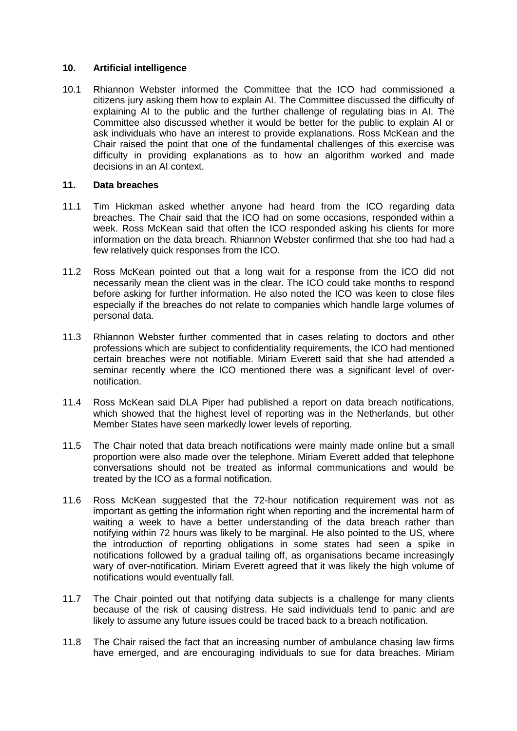#### **10. Artificial intelligence**

10.1 Rhiannon Webster informed the Committee that the ICO had commissioned a citizens jury asking them how to explain AI. The Committee discussed the difficulty of explaining AI to the public and the further challenge of regulating bias in AI. The Committee also discussed whether it would be better for the public to explain AI or ask individuals who have an interest to provide explanations. Ross McKean and the Chair raised the point that one of the fundamental challenges of this exercise was difficulty in providing explanations as to how an algorithm worked and made decisions in an AI context.

### **11. Data breaches**

- 11.1 Tim Hickman asked whether anyone had heard from the ICO regarding data breaches. The Chair said that the ICO had on some occasions, responded within a week. Ross McKean said that often the ICO responded asking his clients for more information on the data breach. Rhiannon Webster confirmed that she too had had a few relatively quick responses from the ICO.
- 11.2 Ross McKean pointed out that a long wait for a response from the ICO did not necessarily mean the client was in the clear. The ICO could take months to respond before asking for further information. He also noted the ICO was keen to close files especially if the breaches do not relate to companies which handle large volumes of personal data.
- 11.3 Rhiannon Webster further commented that in cases relating to doctors and other professions which are subject to confidentiality requirements, the ICO had mentioned certain breaches were not notifiable. Miriam Everett said that she had attended a seminar recently where the ICO mentioned there was a significant level of overnotification.
- 11.4 Ross McKean said DLA Piper had published a report on data breach notifications, which showed that the highest level of reporting was in the Netherlands, but other Member States have seen markedly lower levels of reporting.
- 11.5 The Chair noted that data breach notifications were mainly made online but a small proportion were also made over the telephone. Miriam Everett added that telephone conversations should not be treated as informal communications and would be treated by the ICO as a formal notification.
- 11.6 Ross McKean suggested that the 72-hour notification requirement was not as important as getting the information right when reporting and the incremental harm of waiting a week to have a better understanding of the data breach rather than notifying within 72 hours was likely to be marginal. He also pointed to the US, where the introduction of reporting obligations in some states had seen a spike in notifications followed by a gradual tailing off, as organisations became increasingly wary of over-notification. Miriam Everett agreed that it was likely the high volume of notifications would eventually fall.
- 11.7 The Chair pointed out that notifying data subjects is a challenge for many clients because of the risk of causing distress. He said individuals tend to panic and are likely to assume any future issues could be traced back to a breach notification.
- 11.8 The Chair raised the fact that an increasing number of ambulance chasing law firms have emerged, and are encouraging individuals to sue for data breaches. Miriam